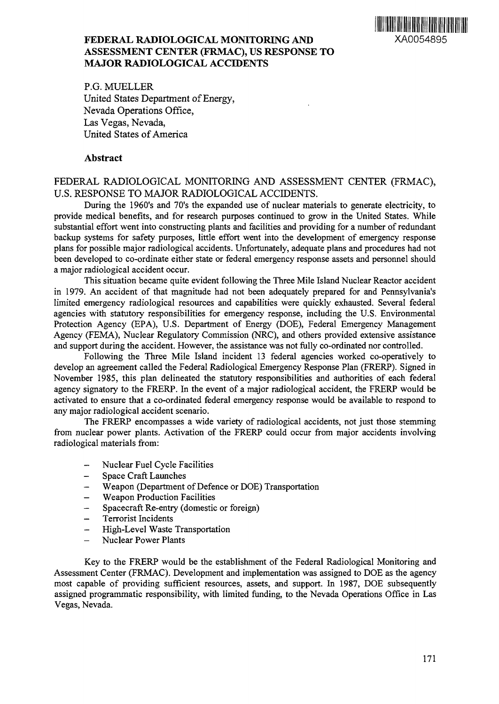

# **FEDERAL RADIOLOGICAL MONITORING AND** XA0054895 **ASSESSMENT CENTER (FRMAC), US RESPONSE TO MAJOR RADIOLOGICAL ACCIDENTS**

P.G. MUELLER United States Department of Energy, Nevada Operations Office, Las Vegas, Nevada, United States of America

### **Abstract**

# FEDERAL RADIOLOGICAL MONITORING AND ASSESSMENT CENTER (FRMAC), U.S. RESPONSE TO MAJOR RADIOLOGICAL ACCIDENTS.

During the 1960's and 70's the expanded use of nuclear materials to generate electricity, to provide medical benefits, and for research purposes continued to grow in the United States. While substantial effort went into constructing plants and facilities and providing for a number of redundant backup systems for safety purposes, little effort went into the development of emergency response plans for possible major radiological accidents. Unfortunately, adequate plans and procedures had not been developed to co-ordinate either state or federal emergency response assets and personnel should a major radiological accident occur.

This situation became quite evident following the Three Mile Island Nuclear Reactor accident in 1979. An accident of that magnitude had not been adequately prepared for and Pennsylvania's limited emergency radiological resources and capabilities were quickly exhausted. Several federal agencies with statutory responsibilities for emergency response, including the U.S. Environmental Protection Agency (EPA), U.S. Department of Energy (DOE), Federal Emergency Management Agency (FEMA), Nuclear Regulatory Commission (NRC), and others provided extensive assistance and support during the accident. However, the assistance was not fully co-ordinated nor controlled.

Following the Three Mile Island incident 13 federal agencies worked co-operatively to develop an agreement called the Federal Radiological Emergency Response Plan (FRERP). Signed in November 1985, this plan delineated the statutory responsibilities and authorities of each federal agency signatory to the FRERP. In the event of a major radiological accident, the FRERP would be activated to ensure that a co-ordinated federal emergency response would be available to respond to any major radiological accident scenario.

The FRERP encompasses a wide variety of radiological accidents, not just those stemming from nuclear power plants. Activation of the FRERP could occur from major accidents involving radiological materials from:

- Nuclear Fuel Cycle Facilities
- Space Craft Launches
- Weapon (Department of Defence or DOE) Transportation
- Weapon Production Facilities
- Spacecraft Re-entry (domestic or foreign)
- Terrorist Incidents
- High-Level Waste Transportation
- Nuclear Power Plants

Key to the FRERP would be the establishment of the Federal Radiological Monitoring and Assessment Center (FRMAC). Development and implementation was assigned to DOE as the agency most capable of providing sufficient resources, assets, and support. In 1987, DOE subsequently assigned programmatic responsibility, with limited funding, to the Nevada Operations Office in Las Vegas, Nevada.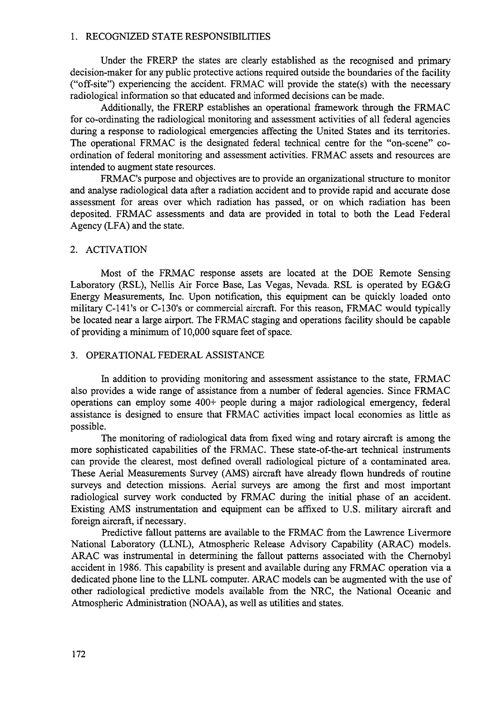#### 1. RECOGNIZED STATE RESPONSIBILITIES

Under the FRERP the states are clearly established as the recognised and primary decision-maker for any public protective actions required outside the boundaries of the facility ("off-site") experiencing the accident. FRMAC will provide the state(s) with the necessary radiological information so that educated and informed decisions can be made.

Additionally, the FRERP establishes an operational framework through the FRMAC for co-ordinating the radiological monitoring and assessment activities of all federal agencies during a response to radiological emergencies affecting the United States and its territories. The operational FRMAC is the designated federal technical centre for the "on-scene" coordination of federal monitoring and assessment activities. FRMAC assets and resources are intended to augment state resources.

FRMAC's purpose and objectives are to provide an organizational structure to monitor and analyse radiological data after a radiation accident and to provide rapid and accurate dose assessment for areas over which radiation has passed, or on which radiation has been deposited. FRMAC assessments and data are provided in total to both the Lead Federal Agency (LFA) and the state.

### 2. ACTIVATION

Most of the FRMAC response assets are located at the DOE Remote Sensing Laboratory (RSL), Nellis Air Force Base, Las Vegas, Nevada. RSL is operated by EG&G Energy Measurements, Inc. Upon notification, this equipment can be quickly loaded onto military C-141's or C-130's or commercial aircraft. For this reason, FRMAC would typically be located near a large airport. The FRMAC staging and operations facility should be capable of providing a minimum of 10,000 square feet of space.

#### 3. OPERATIONAL FEDERAL ASSISTANCE

In addition to providing monitoring and assessment assistance to the state, FRMAC also provides a wide range of assistance from a number of federal agencies. Since FRMAC operations can employ some 400+ people during a major radiological emergency, federal assistance is designed to ensure that FRMAC activities impact local economies as little as possible.

The monitoring of radiological data from fixed wing and rotary aircraft is among the more sophisticated capabilities of the FRMAC. These state-of-the-art technical instruments can provide the clearest, most defined overall radiological picture of a contaminated area. These Aerial Measurements Survey (AMS) aircraft have already flown hundreds of routine surveys and detection missions. Aerial surveys are among the first and most important radiological survey work conducted by FRMAC during the initial phase of an accident. Existing AMS instrumentation and equipment can be affixed to U.S. military aircraft and foreign aircraft, if necessary.

Predictive fallout patterns are available to the FRMAC from the Lawrence Livermore National Laboratory (LLNL), Atmospheric Release Advisory Capability (ARAC) models. ARAC was instrumental in determining the fallout patterns associated with the Chernobyl accident in 1986. This capability is present and available during any FRMAC operation via a dedicated phone line to the LLNL computer. ARAC models can be augmented with the use of other radiological predictive models available from the NRC, the National Oceanic and Atmospheric Administration (NOAA), as well as utilities and states.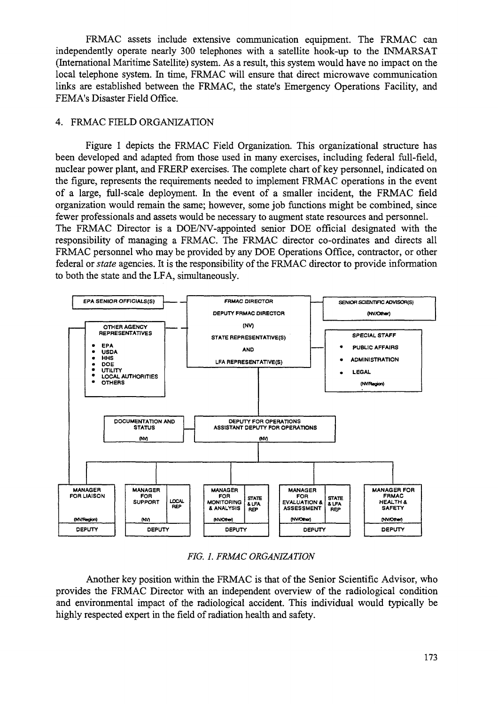FRMAC assets include extensive communication equipment. The FRMAC can independently operate nearly 300 telephones with a satellite hook-up to the INMARSAT (International Maritime Satellite) system. As a result, this system would have no impact on the local telephone system. In time, FRMAC will ensure that direct microwave communication links are established between the FRMAC, the state's Emergency Operations Facility, and FEMA's Disaster Field Office.

## 4. FRMAC FIELD ORGANIZATION

Figure 1 depicts the FRMAC Field Organization. This organizational structure has been developed and adapted from those used in many exercises, including federal full-field, nuclear power plant, and FRERP exercises. The complete chart of key personnel, indicated on the figure, represents the requirements needed to implement FRMAC operations in the event of a large, full-scale deployment. In the event of a smaller incident, the FRMAC field organization would remain the same; however, some job functions might be combined, since fewer professionals and assets would be necessary to augment state resources and personnel. The FRMAC Director is a DOE/NV-appointed senior DOE official designated with the responsibility of managing a FRMAC. The FRMAC director co-ordinates and directs all FRMAC personnel who may be provided by any DOE Operations Office, contractor, or other federal or *state* agencies. It is the responsibility of the FRMAC director to provide information to both the state and the LFA, simultaneously.



*FIG. 1. FRMAC ORGANIZATION*

Another key position within the FRMAC is that of the Senior Scientific Advisor, who provides the FRMAC Director with an independent overview of the radiological condition and environmental impact of the radiological accident. This individual would typically be highly respected expert in the field of radiation health and safety.